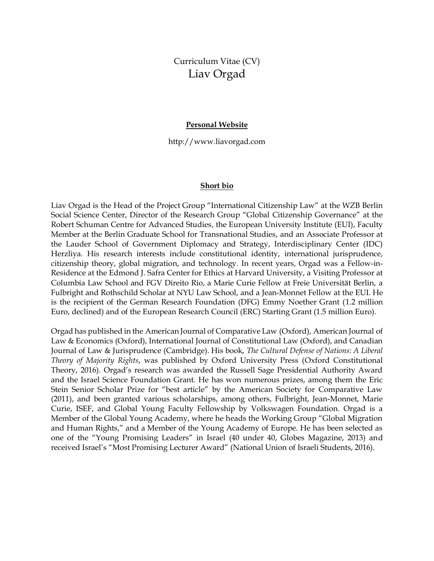# Curriculum Vitae (CV) Liav Orgad

#### **Personal Website**

http://www.liavorgad.com

#### **Short bio**

Liav Orgad is the Head of the Project Group "International Citizenship Law" at the WZB Berlin Social Science Center, Director of the Research Group "Global Citizenship Governance" at the Robert Schuman Centre for Advanced Studies, the European University Institute (EUI), Faculty Member at the Berlin Graduate School for Transnational Studies, and an Associate Professor at the Lauder School of Government Diplomacy and Strategy, Interdisciplinary Center (IDC) Herzliya. His research interests include constitutional identity, international jurisprudence, citizenship theory, global migration, and technology. In recent years, Orgad was a Fellow-in-Residence at the Edmond J. Safra Center for Ethics at Harvard University, a Visiting Professor at Columbia Law School and FGV Direito Rio, a Marie Curie Fellow at Freie Universität Berlin, a Fulbright and Rothschild Scholar at NYU Law School, and a Jean-Monnet Fellow at the EUI. He is the recipient of the German Research Foundation (DFG) Emmy Noether Grant (1.2 million Euro, declined) and of the European Research Council (ERC) Starting Grant (1.5 million Euro).

Orgad has published in the American Journal of Comparative Law (Oxford), American Journal of Law & Economics (Oxford), International Journal of Constitutional Law (Oxford), and Canadian Journal of Law & Jurisprudence (Cambridge). His book, *The Cultural Defense of Nations: A Liberal Theory of Majority Rights*, was published by Oxford University Press (Oxford Constitutional Theory, 2016). Orgad's research was awarded the Russell Sage Presidential Authority Award and the Israel Science Foundation Grant. He has won numerous prizes, among them the Eric Stein Senior Scholar Prize for "best article" by the American Society for Comparative Law (2011), and been granted various scholarships, among others, Fulbright, Jean-Monnet, Marie Curie, ISEF, and Global Young Faculty Fellowship by Volkswagen Foundation. Orgad is a Member of the Global Young Academy, where he heads the Working Group "Global Migration and Human Rights," and a Member of the Young Academy of Europe. He has been selected as one of the "Young Promising Leaders" in Israel (40 under 40, Globes Magazine, 2013) and received Israel's "Most Promising Lecturer Award" (National Union of Israeli Students, 2016).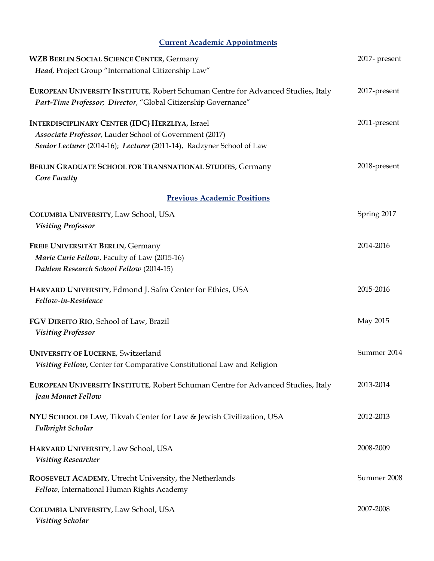## **Current Academic Appointments**

| <b>WZB BERLIN SOCIAL SCIENCE CENTER, Germany</b>                                                                                                                                           | 2017- present |
|--------------------------------------------------------------------------------------------------------------------------------------------------------------------------------------------|---------------|
| Head, Project Group "International Citizenship Law"                                                                                                                                        |               |
| EUROPEAN UNIVERSITY INSTITUTE, Robert Schuman Centre for Advanced Studies, Italy<br>Part-Time Professor; Director, "Global Citizenship Governance"                                         | 2017-present  |
| <b>INTERDISCIPLINARY CENTER (IDC) HERZLIYA, Israel</b><br>Associate Professor, Lauder School of Government (2017)<br>Senior Lecturer (2014-16); Lecturer (2011-14), Radzyner School of Law | 2011-present  |
| BERLIN GRADUATE SCHOOL FOR TRANSNATIONAL STUDIES, Germany<br>Core Faculty                                                                                                                  | 2018-present  |
| <b>Previous Academic Positions</b>                                                                                                                                                         |               |
| COLUMBIA UNIVERSITY, Law School, USA<br><b>Visiting Professor</b>                                                                                                                          | Spring 2017   |
| FREIE UNIVERSITÄT BERLIN, Germany<br>Marie Curie Fellow, Faculty of Law (2015-16)<br>Dahlem Research School Fellow (2014-15)                                                               | 2014-2016     |
| HARVARD UNIVERSITY, Edmond J. Safra Center for Ethics, USA<br>Fellow-in-Residence                                                                                                          | 2015-2016     |
| FGV DIREITO RIO, School of Law, Brazil<br><b>Visiting Professor</b>                                                                                                                        | May 2015      |
| <b>UNIVERSITY OF LUCERNE, Switzerland</b><br>Visiting Fellow, Center for Comparative Constitutional Law and Religion                                                                       | Summer 2014   |
| EUROPEAN UNIVERSITY INSTITUTE, Robert Schuman Centre for Advanced Studies, Italy<br>Jean Monnet Fellow                                                                                     | 2013-2014     |
| NYU SCHOOL OF LAW, Tikvah Center for Law & Jewish Civilization, USA<br>Fulbright Scholar                                                                                                   | 2012-2013     |
| HARVARD UNIVERSITY, Law School, USA<br><b>Visiting Researcher</b>                                                                                                                          | 2008-2009     |
| ROOSEVELT ACADEMY, Utrecht University, the Netherlands<br>Fellow, International Human Rights Academy                                                                                       | Summer 2008   |
| COLUMBIA UNIVERSITY, Law School, USA<br><b>Visiting Scholar</b>                                                                                                                            | 2007-2008     |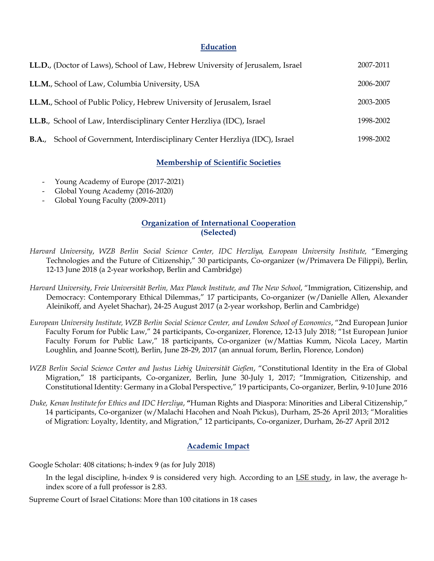### **Education**

| LL.D., (Doctor of Laws), School of Law, Hebrew University of Jerusalem, Israel | 2007-2011 |
|--------------------------------------------------------------------------------|-----------|
| LL.M., School of Law, Columbia University, USA                                 | 2006-2007 |
| LL.M., School of Public Policy, Hebrew University of Jerusalem, Israel         | 2003-2005 |
| LL.B., School of Law, Interdisciplinary Center Herzliya (IDC), Israel          | 1998-2002 |
| School of Government, Interdisciplinary Center Herzliya (IDC), Israel<br>B.A., | 1998-2002 |

### **Membership of Scientific Societies**

- Young Academy of Europe (2017-2021)
- Global Young Academy (2016-2020)
- Global Young Faculty (2009-2011)

### **Organization of International Cooperation (Selected)**

- *Harvard University*, *WZB Berlin Social Science Center, IDC Herzliya, European University Institute,* "Emerging Technologies and the Future of Citizenship," 30 participants, Co-organizer (w/Primavera De Filippi), Berlin, 12-13 June 2018 (a 2-year workshop, Berlin and Cambridge)
- *Harvard University*, *Freie Universität Berlin, Max Planck Institute, and The New School*, "Immigration, Citizenship, and Democracy: Contemporary Ethical Dilemmas," 17 participants, Co-organizer (w/Danielle Allen, Alexander Aleinikoff, and Ayelet Shachar), 24-25 August 2017 (a 2-year workshop, Berlin and Cambridge)
- *European University Institute, WZB Berlin Social Science Center, and London School of Economics*, "2nd European Junior Faculty Forum for Public Law," 24 participants, Co-organizer, Florence, 12-13 July 2018; "1st European Junior Faculty Forum for Public Law," 18 participants, Co-organizer (w/Mattias Kumm, Nicola Lacey, Martin Loughlin, and Joanne Scott), Berlin, June 28-29, 2017 (an annual forum, Berlin, Florence, London)
- *WZB Berlin Social Science Center and Justus Liebig Universität Gießen*, "Constitutional Identity in the Era of Global Migration," 18 participants, Co-organizer, Berlin, June 30-July 1, 2017; "Immigration, Citizenship, and Constitutional Identity: Germany in a Global Perspective," 19 participants, Co-organizer, Berlin, 9-10 June 2016
- *Duke, Kenan Institutefor Ethics and IDC Herzliya*, **"**Human Rights and Diaspora: Minorities and Liberal Citizenship," 14 participants, Co-organizer (w/Malachi Hacohen and Noah Pickus), Durham, 25-26 April 2013; "Moralities of Migration: Loyalty, Identity, and Migration," 12 participants, Co-organizer, Durham, 26-27 April 2012

### **Academic Impact**

Google Scholar: 408 citations; h-index 9 (as for July 2018)

In the legal discipline, h-index 9 is considered very high. According to an *LSE study*, in law, the average hindex score of a full professor is 2.83.

Supreme Court of Israel Citations: More than 100 citations in 18 cases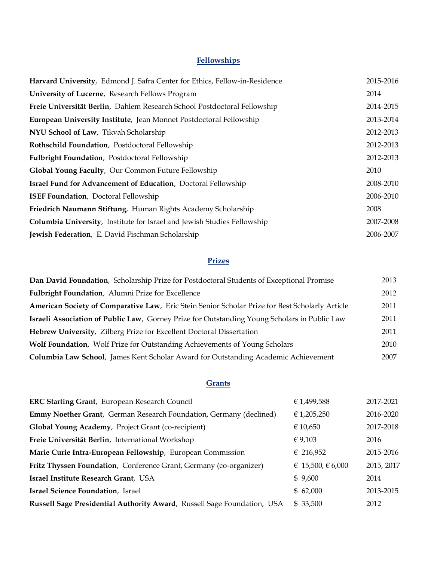## **Fellowships**

| Harvard University, Edmond J. Safra Center for Ethics, Fellow-in-Residence     | 2015-2016 |
|--------------------------------------------------------------------------------|-----------|
| University of Lucerne, Research Fellows Program                                | 2014      |
| Freie Universität Berlin, Dahlem Research School Postdoctoral Fellowship       | 2014-2015 |
| <b>European University Institute, Jean Monnet Postdoctoral Fellowship</b>      | 2013-2014 |
| NYU School of Law, Tikvah Scholarship                                          | 2012-2013 |
| Rothschild Foundation, Postdoctoral Fellowship                                 | 2012-2013 |
| Fulbright Foundation, Postdoctoral Fellowship                                  | 2012-2013 |
| Global Young Faculty, Our Common Future Fellowship                             | 2010      |
| <b>Israel Fund for Advancement of Education</b> , Doctoral Fellowship          | 2008-2010 |
| <b>ISEF Foundation</b> , Doctoral Fellowship                                   | 2006-2010 |
| Friedrich Naumann Stiftung, Human Rights Academy Scholarship                   | 2008      |
| <b>Columbia University, Institute for Israel and Jewish Studies Fellowship</b> | 2007-2008 |
| Jewish Federation, E. David Fischman Scholarship                               | 2006-2007 |

### **Prizes**

| Dan David Foundation, Scholarship Prize for Postdoctoral Students of Exceptional Promise            | 2013 |
|-----------------------------------------------------------------------------------------------------|------|
| Fulbright Foundation, Alumni Prize for Excellence                                                   | 2012 |
| American Society of Comparative Law, Eric Stein Senior Scholar Prize for Best Scholarly Article     | 2011 |
| <b>Israeli Association of Public Law, Gorney Prize for Outstanding Young Scholars in Public Law</b> | 2011 |
| Hebrew University, Zilberg Prize for Excellent Doctoral Dissertation                                | 2011 |
| <b>Wolf Foundation</b> , Wolf Prize for Outstanding Achievements of Young Scholars                  | 2010 |
| Columbia Law School, James Kent Scholar Award for Outstanding Academic Achievement                  | 2007 |

## **Grants**

| <b>ERC Starting Grant, European Research Council</b>                       | € 1,499,588       | 2017-2021  |
|----------------------------------------------------------------------------|-------------------|------------|
| <b>Emmy Noether Grant</b> , German Research Foundation, Germany (declined) | € 1,205,250       | 2016-2020  |
| Global Young Academy, Project Grant (co-recipient)                         | € 10,650          | 2017-2018  |
| Freie Universität Berlin, International Workshop                           | € 9,103           | 2016       |
| Marie Curie Intra-European Fellowship, European Commission                 | € 216,952         | 2015-2016  |
| Fritz Thyssen Foundation, Conference Grant, Germany (co-organizer)         | € 15,500, € 6,000 | 2015, 2017 |
| Israel Institute Research Grant, USA                                       | \$9,600           | 2014       |
| <b>Israel Science Foundation</b> , Israel                                  | \$62,000          | 2013-2015  |
| Russell Sage Presidential Authority Award, Russell Sage Foundation, USA    | \$ 33,500         | 2012       |